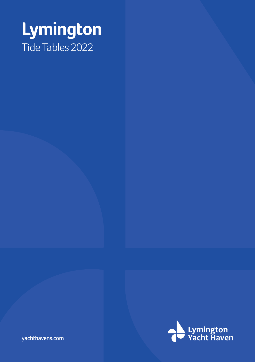# **Lymington** Tide Tables 2022



yachthavens.com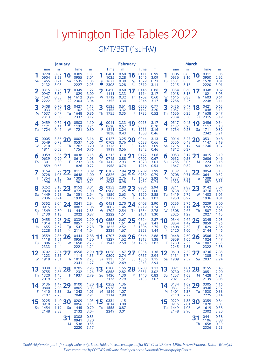|          | <b>January</b>                  |                                        |                |                                 |                              |                               |                                 | <b>February</b>              |               |                              |                              | March    |                                 |                                                |                |                                 |                              |  |  |
|----------|---------------------------------|----------------------------------------|----------------|---------------------------------|------------------------------|-------------------------------|---------------------------------|------------------------------|---------------|------------------------------|------------------------------|----------|---------------------------------|------------------------------------------------|----------------|---------------------------------|------------------------------|--|--|
|          | Time<br>0220<br>0904            | m<br>0.87<br>3.23                      | 16             | Time<br>0309<br>0955            | m<br>1.31<br>3.01            |                               | <b>Time</b><br>0401<br>1025     | m<br>0.68<br>3.28            | 16            | Time<br>0411<br>1046         | m<br>0.99<br>3.09            |          | Time<br>0306<br>0936            | m<br>0.83<br>3.10                              | 6              | Time<br>0311<br>0950            | m<br>1.06<br>2.92            |  |  |
| Sa       | 1455<br>2132                    | 0.71<br>3.08                           | Su             | 1535<br>2227                    | 1.05<br>2.93                 | Тu                            | 1627<br>2308                    | 0.39<br>3.28                 | $\frac{W}{C}$ | 1629<br>2319                 | 0.71<br>3.11                 | Tu       | 1531<br>2215                    | 0.53<br>3.18                                   | W              | 1528<br>2220                    | 0.81<br>3.01                 |  |  |
| 2<br>Su  | 0315<br>0947<br>1547<br>2222    | 0.76<br>3.32<br>0.55<br>3.20           | 17<br>M        | 0349<br>1029<br>1612<br>2304    | 1.22<br>3.09<br>0.94<br>3.04 | 2<br>W                        | 0450<br>1111<br>1712<br>2355    | 0.60<br>3.33<br>0.32<br>3.34 | 7<br>1<br>Th  | 0446<br>1114<br>1702<br>2346 | 0.86<br>3.17<br>0.60<br>3.17 | 2<br>W   | 0354<br>1018<br>1615<br>2256    | 0.60<br>3.18<br>0.33<br>3.26                   | 17<br>Th       | 0348<br>1021<br>1603<br>2248    | 0.82<br>3.03<br>0.61<br>3.11 |  |  |
| 3<br>M   | 0408<br>1033<br>1637<br>2313    | 0.70<br>3.39<br>0.47<br>3.30           | 18<br>Tu       | 0427<br>1102<br>1648<br>2337    | 1.15<br>3.16<br>0.86<br>3.12 | 3<br>Th                       | 0535<br>1155<br>1755            | 0.61<br>3.32<br>0.35         | 18<br>F       | 0520<br>1142<br>1735         | 0.77<br>3.20<br>0.52         | 3<br>Th  | 0436<br>1057<br>1656<br>2334    | 0.47<br>3.22<br>0.25<br>3.30                   | 18<br>$\delta$ | 0421<br>1048<br>1638<br>2315    | 0.65<br>3.13<br>0.47<br>3.19 |  |  |
| 4<br>Tu  | 0459<br>1121<br>1724            | 0.72<br>3.41<br>0.46                   | 19<br>W        | 0503<br>1133<br>1721            | 1.10<br>3.21<br>0.80         | 4<br>F                        | 0041<br>0620<br>1241<br>1838    | 3.33<br>0.67<br>3.24<br>0.43 | 19<br>Sa      | 0013<br>0553<br>1211<br>1808 | 3.17<br>0.70<br>3.16<br>0.46 | 4<br>F   | 0517<br>1137<br>1734            | 0.45<br>3.23<br>0.28                           | 9<br>Sa        | 0456<br>1117<br>1711<br>2342    | 0.54<br>3.18<br>0.39<br>3.21 |  |  |
| 5<br>W   | 0005<br>0549<br>1210<br>1811    | 3.36<br>0.79<br>3.39<br>0.52           | 20<br>Th       | 0009<br>0537<br>1202<br>1754    | 3.16<br>1.06<br>3.20<br>0.76 | 5<br>Sa                       | 0127<br>0703<br>1326<br>1919    | 3.25<br>0.76<br>3.11<br>0.56 | 20<br>Su      | 0044<br>0628<br>1245<br>1842 | 3.13<br>0.66<br>3.09<br>0.46 | 5<br>Sa  | 0014<br>0556<br>1216<br>1812    | 3.27<br>0.49<br>3.17<br>0.37                   | 20<br>Su       | 0531<br>1147<br>1746            | 0.48<br>3.19<br>0.37         |  |  |
| 6<br>Th  | 0059<br>0639<br>1301<br>1859    | 3.36<br>0.90<br>3.30<br>0.63           | 21<br>F        | 0038<br>0612<br>1232<br>1826    | 3.15<br>1.03<br>3.14<br>0.72 | 6<br>Su                       | 0213<br>0745<br>1412<br>1958    | 3.10<br>0.88<br>2.93<br>0.74 | 21<br>M       | 0122<br>0702<br>1328<br>1916 | 3.06<br>0.67<br>3.01<br>0.54 | 6<br>Su  | 0053<br>0632<br>1255<br>1847    | 3.17<br>0.58<br>3.06<br>0.52                   | 21<br>M        | 0015<br>0606<br>1224<br>1822    | 3.19<br>0.46<br>3.15<br>0.41 |  |  |
| F        | 0154<br>0728<br>1354<br>1946    | 3.29<br>1.03<br>3.15<br>0.77           | 22<br>Sa       | 0112<br>0648<br>1308<br>1901    | 3.09<br>1.00<br>3.05<br>0.71 | 7<br>M                        | 0302<br>0826<br>1502<br>2038    | 2.94<br>1.04<br>2.76<br>0.98 | 22<br>Tu      | 0209<br>0739<br>1420<br>1954 | 2.99<br>0.79<br>2.92<br>0.74 | 7<br>M   | 0132<br>0708<br>1337<br>1920    | 3.03<br>0.71<br>2.92<br>0.71                   | 22<br>Tu       | 0054<br>0641<br>1309<br>1857    | 3.13<br>0.52<br>3.08<br>0.55 |  |  |
| 8<br>Sa  | 0252<br>0820<br>1449<br>2036    | 3.18<br>1.16<br>2.98<br>0.94           | 23<br>Su       | 0152<br>0725<br>1351<br>1939    | 3.01<br>1.00<br>2.94<br>0.76 | 8<br>Tu<br>D)                 | 0353<br>0908<br>1556<br>2122    | 2.80<br>1.25<br>2.63<br>1.25 | 23<br>W       | 0304<br>0822<br>1520<br>2043 | 2.94<br>1.00<br>2.85<br>1.02 | 8<br>Tul | 0211<br>0738<br>1419<br>1950    | 2.88<br>0.89<br>2.79<br>0.97                   | 23<br>W        | 0142<br>0716<br>1403<br>1936    | 3.07<br>0.69<br>3.01<br>0.81 |  |  |
| 9<br>Su  | 0352<br>0915<br>1549<br>2130    | 3.04<br>1.30<br>2.80<br>1.13           | 24<br>M        | 0241<br>0807<br>1444<br>2022    | 2.94<br>1.06<br>2.85<br>0.87 | 9<br>W                        | 0451<br>1002<br>1702<br>2222    | 2.70<br>1.46<br>2.54<br>1.51 | 24<br>Th      | 0408<br>0919<br>1634<br>2151 | 2.90<br>1.24<br>2.78<br>1.30 | 9<br>W   | 0255<br>0811<br>1508<br>2025    | 2.76<br>1.14<br>2.67<br>1.29                   | 24<br>Th       | 0239<br>0759<br>1507<br>2027    | 3.00<br>0.96<br>2.93<br>1.15 |  |  |
| 10<br>M  | 0455<br>1014<br>1655<br>2228    | 2.93<br>1.43<br>2.67<br>1.31           | 25<br>Tu<br>৻৻ | 0339<br>0857<br>1547<br>2114    | 2.90<br>1.17<br>2.78<br>1.04 | 1<br>0<br>Th                  | 0558<br>1111<br>1825<br>2339    | 2.67<br>1.61<br>2.52<br>1.67 | 25<br>F       | 0524<br>1039<br>1806<br>2323 | 2.87<br>1.41<br>2.75<br>1.44 | 10<br>Th | 0344<br>0854<br>1608<br>2120    | 2.66<br>1.42<br>2.59<br>1.60                   | 25<br>F<br>ℂ   | 0345<br>0859<br>1629<br>2144    | 2.93<br>1.26<br>2.86<br>1.46 |  |  |
| 11<br>Tu | 0559<br>1118<br>1806<br>2333    | 2.86<br>1.51<br>2.60<br>1.44           | 26<br>W        | 0444<br>0958<br>1658<br>2221    | 2.88<br>1.30<br>2.73<br>1.21 | 1<br>F                        | 0707<br>1227<br>1947            | 2.68<br>1.62<br>2.59         | 26<br>Sa      | 0646<br>1213<br>1936         | 2.88<br>1.38<br>2.82         | 1<br>F   | 0448<br>0959<br>1730<br>2245    | 2.60<br>1.66<br>2.55<br>1.81                   | 26<br>Sa       | 0506<br>1024<br>1807<br>2322    | 2.86<br>1.47<br>2.85<br>1.58 |  |  |
| 12<br>W  | 0702<br>1223<br>1918            | 2.84<br>1.51<br>2.61                   | 27<br>Th       | 0556<br>1114<br>1819<br>2341    | 2.90<br>1.35<br>2.73<br>1.27 | $\overline{\mathbf{2}}$<br>Sa | 0058<br>0809<br>1335<br>2048    | 1.67<br>2.74<br>1.51<br>2.69 | 27<br>Su      | 0054<br>0757<br>1336<br>2043 | 1.36<br>2.94<br>1.15<br>2.94 | 2<br>Sa  | 0610<br>1131<br>1909            | 2.59<br>1.74<br>2.59                           | Su             | 0736<br>1305<br>2037            | 2.85<br>1.45<br>2.94         |  |  |
| 13<br>Th | 0038<br>0755<br>1320<br>2019    | 1.50<br>2.86<br>1.45<br>2.66           | 28<br>F        | 0705<br>1232<br>1937            | 2.95<br>1.26<br>2.79         | 13<br>Su                      | 0200<br>0858<br>1430<br>2136    | 1.55<br>2.82<br>1.30<br>2.79 | 28<br>M       | 0208<br>0851<br>1440<br>2133 | 1.12<br>3.02<br>0.83<br>3.07 | 13<br>Su | 0021<br>0730<br>1257<br>2021    | 1.81<br>2.63<br>1.63<br>2.69                   | 28<br>M        | 0155<br>0851<br>1428<br>2139    | 1.45<br>2.90<br>1.21<br>3.05 |  |  |
| 14       | 0136<br>0840<br>1410<br>2107    | 1.47<br>2.90<br>1.33<br>2.75           | 29             | 0100<br>0805<br>Sa 1343<br>2040 | 1.20<br>3.03<br>1.05<br>2.91 | 14                            | 0252<br>0938<br>M 1516<br>2214  | 1.36<br>2.90<br>1.07<br>2.90 |               |                              |                              | 14       | 0134<br>0831<br>M 1401<br>2110  | 1.62<br>2.72<br>1.37<br>2.79                   | 29             | 0305<br>0946<br>Tu 1530<br>2225 | 1.16<br>2.97<br>0.88<br>3.14 |  |  |
| 15       | 0225<br>0918<br>Sa 1454<br>2148 | $\frac{1.40}{2.95}$ 30<br>1.19<br>2.83 |                | 0209<br>0856<br>Su 1445<br>2132 | 1.03<br>3.11<br>0.79<br>3.04 | 15                            | 0334<br>1014<br>Tu 1555<br>2249 | 1.15<br>3.00<br>0.87<br>3.01 |               |                              |                              | 15       | 0229<br>0915<br>Tu 1449<br>2148 | $\frac{1.35}{2.81}$ 30<br>2.81<br>1.08<br>2.90 | W              | 0359<br>1028<br>1619<br>2302    | 0.84<br>3.03<br>0.58<br>3.20 |  |  |
|          |                                 |                                        | M              | 0308<br>0941<br>1538<br>2220    | 0.83<br>3.20<br>0.55<br>3.17 |                               |                                 |                              |               |                              |                              |          |                                 |                                                | 31             | 0441<br>1106<br>Th 1658<br>2336 | 0.58<br>3.08<br>0.39<br>3.23 |  |  |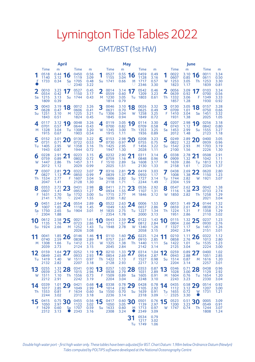|          |                              | <b>April</b>                 |          |                                      |                                   |              |                              | <b>May</b>                   |          |                                      |                                   | June     |                                      |                                   |          |                                      |                                   |  |  |
|----------|------------------------------|------------------------------|----------|--------------------------------------|-----------------------------------|--------------|------------------------------|------------------------------|----------|--------------------------------------|-----------------------------------|----------|--------------------------------------|-----------------------------------|----------|--------------------------------------|-----------------------------------|--|--|
| F        | Time<br>0518<br>1140<br>1733 | m<br>0.44<br>3.12<br>0.34    | 16<br>Sa | Time<br>0450<br>1119<br>1705<br>2340 | m<br>0.56<br>3.09<br>0.48<br>3.22 | 1<br>Su      | Time<br>0527<br>1155<br>1741 | m<br>0.55<br>3.04<br>0.66    | 16<br>M  | Time<br>0459<br>1128<br>1717<br>2346 | m<br>0.49<br>3.16<br>0.57<br>3.30 | W        | Time<br>0022<br>0607<br>1253<br>1823 | m<br>3.10<br>0.85<br>3.05<br>1.17 | 16<br>Th | Time<br>0011<br>0611<br>1253<br>1839 | m<br>3.34<br>0.50<br>3.30<br>0.81 |  |  |
| 2<br>Sa  | 0010<br>0554<br>1215<br>1809 | 3.23<br>0.42<br>3.13<br>0.39 | 17<br>Su | 0527<br>1150<br>1744                 | 0.45<br>3.17<br>0.43              | 2<br>M       | 0014<br>0559<br>1230<br>1814 | 3.14<br>0.60<br>3.05<br>0.79 | Tu       | 0542<br>1209<br>1803                 | 0.46<br>3.23<br>0.61              | 2<br>Th  | 0056<br>0639<br>1332<br>1857         | 3.09<br>0.92<br>3.06<br>1.28      | F        | 0103<br>0700<br>1349<br>1930         | 3.34<br>0.56<br>3.33<br>0.92      |  |  |
| 3<br>Su  | 0043<br>0628<br>1251<br>1843 | 3.19<br>0.47<br>3.10<br>0.51 | 18<br>M  | 0012<br>0606<br>1225<br>1824         | 3.26<br>0.41<br>3.21<br>0.45      | 3<br>Tu      | 0046<br>0631<br>1306<br>1845 | 3.10<br>0.70<br>3.04<br>0.94 | 18<br>W  | 0026<br>0625<br>1258<br>1849         | 3.32<br>0.49<br>3.25<br>0.72      | 3<br>F   | 0130<br>0709<br>1410<br>1931         | 3.05<br>1.01<br>3.04<br>1.38      | 18<br>Sa | 0157<br>0750<br>1451<br>2025         | 3.28<br>0.66<br>3.32<br>1.05      |  |  |
| 4<br>M   | 0117<br>0701<br>1328<br>1915 | 3.12<br>0.57<br>3.04<br>0.67 | 19<br>Tu | 0048<br>0644<br>1308<br>1903         | 3.26<br>0.43<br>3.20<br>0.54      | 4<br>W       | 0119<br>0700<br>1345<br>1915 | 3.05<br>0.82<br>3.00<br>1.11 | 19<br>Th | 0114<br>0709<br>1353<br>1936         | 3.30<br>0.58<br>3.25<br>0.89      | 4<br>Sa  | 0207<br>0743<br>1453<br>2012         | 2.98<br>1.12<br>2.99<br>1.48      | 19<br>Su | 0256<br>0842<br>1555<br>2123         | 3.18<br>0.80<br>3.27<br>1.18      |  |  |
| 5<br>Tu  | 0152<br>0731<br>1405<br>1943 | 3.01<br>0.71<br>2.95<br>0.87 | 20<br>W  | 0130<br>0722<br>1358<br>1944         | 3.22<br>0.53<br>3.16<br>0.72      | 5<br>Th      | 0153<br>0730<br>1425<br>1947 | 2.98<br>0.97<br>2.95<br>1.30 | 20<br>F  | 0208<br>0755<br>1456<br>2028         | 3.23<br>0.75<br>3.22<br>1.11      | 5<br>Su  | 0249<br>0822<br>1542<br>2100         | 2.89<br>1.22<br>2.93<br>1.56      | M        | 0400<br>0939<br>1703<br>2226         | 3.05<br>0.96<br>3.19<br>1.30      |  |  |
| 6<br>W   | 0228<br>0759<br>1447<br>2012 | 2.91<br>0.89<br>2.86<br>1.12 | 21<br>Th | 0223<br>0802<br>1457<br>2029         | 3.15<br>0.72<br>3.11<br>0.99      | 6<br>F       | 0232<br>0759<br>1510<br>2025 | 2.90<br>1.16<br>2.89<br>1.51 | 21<br>Sa | 0311<br>0848<br>1608<br>2130         | 3.14<br>0.96<br>3.17<br>1.33      | 6<br>M   | 0338<br>0909<br>1639<br>2158         | 2.78<br>1.32<br>2.86<br>1.61      | 21<br>Tu | 0508<br>1042<br>1813<br>2334         | 2.91<br>1.11<br>3.12<br>1.37      |  |  |
| Th       | 0307<br>0827<br>1534<br>2047 | 2.81<br>1.13<br>2.77<br>1.41 | 22<br>F  | 0322<br>0850<br>1607<br>2128         | 3.07<br>0.99<br>3.04<br>1.30      | 7<br>Sa      | 0316<br>0839<br>1606<br>2118 | 2.81<br>1.37<br>2.82<br>1.71 | 22<br>Su | 0419<br>0950<br>1727<br>2244         | 3.03<br>1.17<br>3.14<br>1.49      | Тu       | 0438<br>1008<br>1744<br>2304         | 2.69<br>1.38<br>2.82<br>1.59      | 22<br>W  | 0620<br>1150<br>1921                 | 2.80<br>1.23<br>3.07              |  |  |
| 8<br>F   | 0353<br>0907<br>1631<br>2141 | 2.72<br>1.41<br>2.70<br>1.70 | 23<br>Sa | 0431<br>0953<br>1732<br>2247         | 2.98<br>1.27<br>3.00<br>1.55      | 8<br>Su      | 0411<br>0934<br>1715<br>2230 | 2.71<br>1.55<br>2.77<br>1.82 | 23<br>M  | 0536<br>1107<br>1846                 | 2.92<br>1.31<br>3.12              | 8<br>W   | 0547<br>1116<br>1850                 | 2.62<br>1.38<br>2.82              | 23<br>Th | 0042<br>0733<br>1258<br>2021         | 1.38<br>2.74<br>1.29<br>3.04      |  |  |
| g<br>Sa  | 0451<br>1007<br>1750<br>2304 | 2.64<br>1.65<br>2.65<br>1.88 | 24<br>Su | 0554<br>1118<br>1904                 | 2.89<br>1.45<br>3.01              | 9<br>M       | 0522<br>1049<br>1835<br>2354 | 2.63<br>1.63<br>2.75<br>1.78 | 24<br>Tu | 0006<br>0657<br>1227<br>2000         | 1.53<br>2.86<br>1.34<br>3.13      | 9<br>Th  | 0013<br>0659<br>1224<br>1951         | 1.49<br>2.61<br>1.31<br>2.86      | 24<br>F  | 0144<br>0838<br>1358<br>2110         | 1.32<br>2.74<br>1.29<br>3.02      |  |  |
| 10<br>Su | 0612<br>1135<br>1924         | 2.58<br>1.76<br>2.66         | 25<br>M  | 0021<br>0723<br>1252<br>2026         | 1.61<br>2.86<br>1.43<br>3.08      | 0<br>1<br>Tu | 0643<br>1211<br>1948         | 2.59<br>1.57<br>2.78         | 25<br>W  | 0122<br>0812<br>1340<br>2058         | 1.43<br>2.84<br>1.26<br>3.15      | 10<br>F  | 0115<br>0804<br>1327<br>2042         | 1.32<br>2.66<br>1.17<br>2.94      | 25<br>Sa | 0237<br>0930<br>1451<br>2151         | 1.23<br>2.76<br>1.26<br>3.01      |  |  |
| 11<br>M  | 0041<br>0740<br>1308<br>2039 | 1.85<br>2.59<br>1.66<br>2.73 | 26<br>Tu | 0146<br>0838<br>1412<br>2124         | 1.46<br>2.89<br>1.23<br>3.15      | 11<br>W      | 0110<br>0757<br>1325<br>2045 | 1.60<br>2.61<br>1.38<br>2.84 | 26<br>Th | 0225<br>0910<br>1440<br>2142         | 1.24<br>2.85<br>1.11<br>3.14      | 11<br>Sa | 0210<br>0858<br>1422<br>2125         | 1.11<br>2.76<br>1.01<br>3.04      | 26<br>Su | 0322<br>1013<br>1535<br>2224         | 1.12<br>2.80<br>1.23<br>3.00      |  |  |
| 12<br>Tu | 0159<br>0849<br>1419<br>2132 | 1.64<br>2.65<br>1.40<br>2.82 | 27<br>W  | 0252<br>0933<br>1511<br>2207         | 1.19<br>2.93<br>0.97<br>3.18      | 12<br>Th     | 0210<br>0854<br>1422<br>2128 | 1.33<br>2.69<br>1.13<br>2.93 | 27<br>F  | 0314<br>0954<br>1527<br>2217         | 1.04<br>2.87<br>0.98<br>3.12      | 12<br>Su | 0259<br>0943<br>1514<br>2204         | 0.89<br>2.88<br>0.87<br>3.14      | M        | 0400<br>1051<br>1616<br>2257         | 1.02<br>2.85<br>1.20<br>3.01      |  |  |
| 13<br>W  | 0255<br>0939<br>1511<br>2212 | 1.33<br>2.74<br>1.10<br>2.91 | 28<br>Th | 0341<br>1015<br>1556<br>2242         | 0.90<br>2.96<br>0.73<br>3.19      | 13<br>F      | 0257<br>0938<br>1509<br>2204 | 1.03<br>2.79<br>0.89<br>3.04 | 28<br>Sa | 0353<br>1031<br>1605<br>2248         | 0.87<br>2.89<br>0.91<br>3.10      | 13<br>M  | 0346<br>1028<br>1604<br>2243         | 0.71<br>3.00<br>0.76<br>3.23      | 28<br>Tu | 0438<br>1129<br>1654<br>2330         | 0.96<br>2.92<br>1.20<br>3.04      |  |  |
| 14<br>Th | 0339<br>1017<br>1553<br>2244 | 1.01<br>2.85<br>0.81<br>3.02 | 29<br>F  | 0421<br>1049<br>1634<br>2313         | 0.68<br>2.99<br>0.60<br>3.18      | 14<br>Sa     | 0338<br>1014<br>1550<br>2236 | 0.78<br>2.92<br>0.70<br>3.14 | 29<br>Su | 0428<br>1105<br>1639<br>2318         | 0.78<br>2.92<br>0.91<br>3.09      | 14<br>Tu | 0435<br>1112<br>1655<br>2325         | 0.58<br>3.12<br>0.72<br>3.30      | 29<br>W  | 0514<br>1207<br>1731                 | 0.92<br>3.00<br>1.21              |  |  |
| 15<br>F  | 0415<br>1050<br>1629<br>2312 | 0.75<br>2.97<br>0.60<br>3.13 | 30<br>Sa | 0455<br>1122<br>1707<br>2343         | 0.56<br>3.02<br>0.59<br>3.16      | 15<br>Su     | 0417<br>1050<br>1633<br>2308 | 0.60<br>3.05<br>0.60<br>3.24 | 30<br>M  | 0501<br>1139<br>1713<br>2349         | 0.76<br>2.97<br>0.97<br>3.09      | 15<br>W  | 0523<br>1200<br>1747                 | 0.51<br>3.23<br>0.74              | 30<br>Th | 0005<br>0549<br>1244<br>1808         | 3.09<br>0.91<br>3.07<br>1.24      |  |  |
|          |                              |                              |          |                                      |                                   |              |                              |                              | 31<br>Tu | 0534<br>1217<br>1749                 | 0.79<br>3.02<br>1.06              |          |                                      |                                   |          |                                      |                                   |  |  |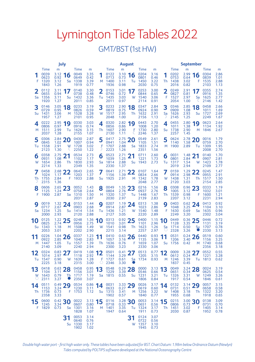|          |                                      | July                              |          |                                      |                                                |                                   | <b>August</b>                        |                                   |              |                                      |                                   |                 |                                      | September                              |                     |                                      |                                   |  |  |  |
|----------|--------------------------------------|-----------------------------------|----------|--------------------------------------|------------------------------------------------|-----------------------------------|--------------------------------------|-----------------------------------|--------------|--------------------------------------|-----------------------------------|-----------------|--------------------------------------|----------------------------------------|---------------------|--------------------------------------|-----------------------------------|--|--|--|
| F        | Time<br>0039<br>0623<br>1320<br>1843 | m<br>3.12<br>0.92<br>3.12<br>1.26 | 6<br>Sa  | Time<br>0049<br>0649<br>1338<br>1919 | m<br>3.35<br>0.42<br>3.39<br>0.77              | M                                 | Time<br>0122<br>0713<br>1400<br>1936 | m<br>3.10<br>0.73<br>3.11<br>0.98 | 16<br>Tu     | Time<br>0204<br>0801<br>1450<br>2030 | m<br>3.16<br>0.46<br>3.22<br>0.75 | Th              | Time<br>0202<br>0753<br>1438<br>2016 | m<br>2.99<br>0.64<br>3.02<br>0.82      | 6<br>F              | Time<br>0304<br>0839<br>1535<br>2103 | m<br>2.86<br>1.01<br>2.88<br>1.13 |  |  |  |
| 2<br>Sa  | 0112<br>0655<br>1356<br>1920         | 3.11<br>0.94<br>3.11<br>1.27      | 17<br>Su | 0140<br>0738<br>1432<br>2011         | 3.30<br>0.48<br>3.36<br>0.85                   | 2<br>Tu                           | 0153<br>0746<br>1435<br>2011         | 3.01<br>0.72<br>3.03<br>0.97      | 17<br>W      | 0253<br>0844<br>1540<br>2114         | 3.00<br>0.65<br>3.06<br>0.91      | 2<br>F          | 0249<br>0827<br>1527<br>2054         | 2.91<br>0.81<br>2.97<br>1.00           | 17<br>Sa            | 0355<br>0916<br>1625<br>2146         | 2.74<br>1.35<br>2.77<br>1.42      |  |  |  |
| 3<br>Su  | 0146<br>0729<br>1431<br>1957         | 3.05<br>0.95<br>3.06<br>1.27      | 18<br>M  | 0233<br>0826<br>1528<br>2101         | 3.19<br>0.59<br>3.28<br>0.95                   | 3<br>W                            | 0233<br>0819<br>1517<br>2048         | 2.90<br>0.75<br>2.95<br>1.00      | 18<br>Th     | 0347<br>0924<br>1632<br>2156         | 2.84<br>0.90<br>2.91<br>1.13      | 3<br>Sa         | 0346<br>0909<br>1626<br>2145         | 2.85<br>1.08<br>2.93<br>1.25           | 18<br>Su            | 0458<br>1011<br>1727<br>2249         | 2.66<br>1.69<br>2.69<br>1.67      |  |  |  |
| 4<br>M   | 0222<br>0806<br>1511<br>2037         | 2.95<br>0.97<br>2.99<br>1.28      | 19<br>Tu | 0330<br>0916<br>1626<br>2155         | 3.03<br>0.74<br>3.15<br>1.07                   | 4<br>Th                           | 0320<br>0856<br>1607<br>2130         | 2.82<br>0.86<br>2.90<br>1.11      | 19<br>F<br>ℂ | 0443<br>1008<br>1730<br>2246         | 2.70<br>1.20<br>2.80<br>1.37      | 4<br>Su         | 0455<br>1011<br>1738<br>2257         | 2.80<br>1.38<br>2.90<br>1.45           | 9<br>M              | 0623<br>1134<br>1846                 | 2.64<br>1.92<br>2.67              |  |  |  |
| 5<br>Tu  | 0306<br>0845<br>1558<br>2123         | 2.84<br>1.02<br>2.91<br>1.30      | 20<br>W  | 0430<br>1007<br>1728<br>2250         | 2.87<br>0.94<br>3.02<br>1.22                   | 5<br>$\int$                       | 0417<br>0941<br>1707<br>2223         | 2.75<br>1.04<br>2.88<br>1.26      | 20<br>Sa     | 0549<br>1105<br>1833<br>2351         | 2.61<br>1.51<br>2.74<br>1.56      | 5<br>M          | 0624<br>1140<br>1900                 | 2.78<br>1.58<br>2.89                   | 20<br>Tu            | 0016<br>0759<br>1309<br>2008         | 1.79<br>2.70<br>1.95<br>2.70      |  |  |  |
| 6<br>W   | 0358<br>0931<br>1654<br>2214         | 2.75<br>1.08<br>2.86<br>1.33      | 21<br>Тh | 0534<br>1102<br>1830<br>2349         | 2.73<br>1.17<br>2.93<br>1.35                   | 6<br>Sa                           | 0523<br>1039<br>1814<br>2330         | 2.71<br>1.25<br>2.88<br>1.37      | 21<br>Su     | 0711<br>1221<br>1943                 | 2.60<br>1.73<br>2.73              | 6<br>Tu         | 0031<br>0801<br>1317<br>2019         | 1.48<br>2.84<br>1.54<br>2.94           | 21<br>W             | 0140<br>0907<br>1423<br>2109         | 1.70<br>2.81<br>1.78<br>2.77      |  |  |  |
| Тh       | 0458<br>1024<br>1755<br>2315         | 2.68<br>1.17<br>2.84<br>1.36      | 22<br>F  | 0643<br>1203<br>1933                 | 2.65<br>1.37<br>2.88                           | 7<br>Su                           | 0641<br>1156<br>1925                 | 2.71<br>1.39<br>2.91              | M            | 0107<br>0834<br>1342<br>2048         | 1.64<br>2.66<br>1.78<br>2.77      | 7<br>W          | 0159<br>0914<br>1438<br>2120         | 1.29<br>2.98<br>1.31<br>3.03           | Th                  | 0245<br>0955<br>1517<br>2154         | 1.47<br>2.91<br>1.50<br>2.85      |  |  |  |
| 8<br>F   | 0606<br>1125<br>1900                 | 2.65<br>1.24<br>2.87              | 23<br>Sa | 0052<br>0758<br>1310<br>2031         | 1.43<br>2.64<br>1.50<br>2.87                   | 8<br>M                            | 0049<br>0804<br>1320<br>2030         | 1.35<br>2.76<br>1.37<br>2.97      | 23<br>Tu     | 0216<br>0937<br>1448<br>2139         | 1.56<br>2.76<br>1.67<br>2.83      | 8<br>Th         | 0308<br>1005<br>1539<br>2207         | 0.96<br>3.12<br>0.98<br>3.12           | 23<br>F             | 0333<br>1032<br>1600<br>2231         | 1.19<br>3.01<br>1.21<br>2.94      |  |  |  |
| 9<br>Sa  | 0019<br>0717<br>1234<br>2000         | 1.32<br>2.67<br>1.25<br>2.93      | 24<br>Su | 0153<br>0903<br>1414<br>2120         | 1.44<br>2.68<br>1.54<br>2.88                   | 9<br>Tu                           | 0207<br>0914<br>1436<br>2127         | 1.19<br>2.87<br>1.21<br>3.05      | 24<br>W      | 0313<br>1023<br>1540<br>2220         | 1.38<br>2.86<br>1.48<br>2.89      | 9<br>F          | 0403<br>1048<br>1630<br>2249         | 0.62<br>3.25<br>0.69<br>3.20           | 24<br>Sa            | 0413<br>1104<br>1635<br>2302         | 0.92<br>3.10<br>0.96<br>3.04      |  |  |  |
| 10<br>Su | 0125<br>0825<br>1343<br>2053         | 1.22<br>2.74<br>1.18<br>3.01      | 25<br>M  | 0248<br>0956<br>1508<br>2202         | 1.36<br>2.75<br>1.49<br>2.90                   | 1<br>0<br>W                       | 0313<br>1010<br>1541<br>2215         | 0.92<br>3.01<br>0.98<br>3.14      | 25<br>Th     | 0400<br>1101<br>1623<br>2257         | 1.15<br>2.96<br>1.26<br>2.97      | 0<br>Sa<br>U    | 0449<br>1128<br>1714<br>2328         | 0.36<br>3.35<br>0.50<br>3.26           | 25<br>Su            | 0446<br>1131<br>1707<br>2330         | 0.72<br>3.19<br>0.78<br>3.13      |  |  |  |
| 11<br>M  | 0226<br>0922<br>1447<br>2140         | 1.04<br>2.85<br>1.05<br>3.09      | 26<br>Tu | 0337<br>1040<br>1557<br>2240         | 1.23<br>2.83<br>1.39<br>2.94                   | 11<br>Тh                          | 0410<br>1057<br>1636<br>2300         | 0.63<br>3.16<br>0.76<br>3.23      | 26<br>F      | 0440<br>1135<br>1659<br>2330         | 0.93<br>3.06<br>1.07<br>3.06      | 11<br>Su        | 0531<br>1206<br>1756                 | 0.24<br>3.40<br>0.42                   | 26<br>M             | 0519<br>1156<br>1740<br>2356         | 0.60<br>3.25<br>0.68<br>3.18      |  |  |  |
| 12<br>Tu | 0324<br>1014<br>1547<br>2225         | 0.83<br>2.97<br>0.90<br>3.18      | 27<br>W  | 0419<br>1118<br>1639<br>2315         | 1.08<br>2.92<br>1.28<br>3.00                   | $\overline{\mathbf{2}}$<br>F<br>U | 0501<br>1144<br>1727<br>2346         | 0.41<br>3.29<br>0.61<br>3.30      | 27<br>Sa     | 0513<br>1205<br>1734                 | 0.77<br>3.15<br>0.93              | 2<br>M          | 0009<br>0612<br>1246<br>1837         | 3.28<br>0.24<br>3.39<br>0.45           | 27<br>Tu            | 0552<br>1221<br>1813                 | 0.55<br>3.28<br>0.62              |  |  |  |
| 13<br>W  | 0418<br>1104<br>1643<br>2311         | 0.63<br>3.11<br>0.79<br>3.27      | 28<br>Th | 0458<br>1156<br>1717<br>2350         | 0.95<br>3.01<br>1.19<br>3.07                   | 13<br>Sa                          | 0548<br>1229<br>1815                 | 0.29<br>3.39<br>0.55              | 28<br>Su     | 0000<br>0546<br>1231<br>1806         | 3.13<br>0.66<br>3.21<br>0.84      | 13<br>Tu        | 0049<br>0651<br>1326<br>1917         | 3.24<br>0.34<br>3.31<br>0.54           | 28<br>W             | 0024<br>0625<br>1249<br>1846         | 3.19<br>0.54<br>3.26<br>0.61      |  |  |  |
| 14<br>1h | 0511<br>1153<br>- 1736<br>2358       | 0.49<br>3.24<br>0.73<br>3.33      | 29       | 0534<br>1230<br>1753                 | 0.86<br>3.11<br>1.12                           | 14<br>Su                          | 0031<br>0633<br>1315<br>1902         | 3.33<br>0.27<br>3.41<br>0.57      | 29           | 0026<br>0619<br>M 1256<br>1840       | 3.17<br>0.60<br>3.22<br>0.77      | 14              | 0132<br>0731<br>1408<br>1955         | 3.14<br>0.51<br>3.18<br>0.68           | 29<br>$\mathsf{In}$ | 0057<br>0658<br>-1322<br>1918        | 3.15<br>0.58<br>3.20<br>0.65      |  |  |  |
| 15<br>F  | 0600<br>1245<br>1829                 | $_{3.34}^{0.42}$ 30<br>0.73       |          | 0022<br>0607<br>Sa 1301<br>1828      | $\frac{3.13}{0.80}$ 15<br>0.80<br>3.16<br>1.07 |                                   | 0116<br>0718<br>M 1401<br>1947       | $3.28$ 30<br>0.33<br>3.35<br>0.64 | Tu           | 0053<br>0651<br>1324<br>1911         | 3.14<br>0.56<br>3.17<br>0.73      | <b>15</b><br>Th | 0215<br>0806<br>1451<br>2030         | $\frac{3.00}{0.73}$ 30<br>3.02<br>0.87 | F.                  | 0138<br>0731<br>1405<br>1952         | 3.09<br>0.70<br>3.14<br>0.78      |  |  |  |
|          |                                      |                                   | Su       | 0053<br>0640<br>1330<br>1902         | 3.14<br>0.76<br>3.17<br>1.02                   |                                   |                                      |                                   | 31<br>w      | 0124<br>0722<br>1357<br>1945         | 3.07<br>0.56<br>3.10<br>0.73      |                 |                                      |                                        |                     |                                      |                                   |  |  |  |